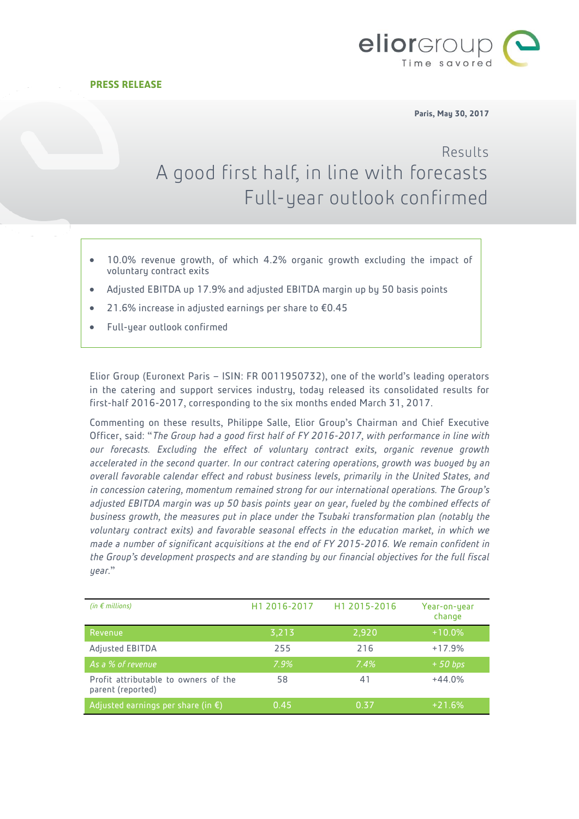

**Paris, May 30, 2017**

# Results A good first half, in line with forecasts Full-year outlook confirmed

- 10.0% revenue growth, of which 4.2% organic growth excluding the impact of voluntary contract exits
- Adjusted EBITDA up 17.9% and adjusted EBITDA margin up by 50 basis points
- 21.6% increase in adjusted earnings per share to €0.45
- Full-year outlook confirmed

Elior Group (Euronext Paris – ISIN: FR 0011950732), one of the world's leading operators in the catering and support services industry, today released its consolidated results for first-half 2016-2017, corresponding to the six months ended March 31, 2017.

Commenting on these results, Philippe Salle, Elior Group's Chairman and Chief Executive Officer, said: "*The Group had a good first half of FY 2016-2017, with performance in line with our forecasts. Excluding the effect of voluntary contract exits, organic revenue growth accelerated in the second quarter. In our contract catering operations, growth was buoyed by an overall favorable calendar effect and robust business levels, primarily in the United States, and in concession catering, momentum remained strong for our international operations. The Group's adjusted EBITDA margin was up 50 basis points year on year, fueled by the combined effects of business growth, the measures put in place under the Tsubaki transformation plan (notably the voluntary contract exits) and favorable seasonal effects in the education market, in which we made a number of significant acquisitions at the end of FY 2015-2016. We remain confident in the Group's development prospects and are standing by our financial objectives for the full fiscal year*."

| (in $\epsilon$ millions)                                  | H <sub>1</sub> 2016-2017 | H1 2015-2016 | Year-on-year<br>change |
|-----------------------------------------------------------|--------------------------|--------------|------------------------|
| Revenue                                                   | 3,213                    | 2,920        | $+10.0\%$              |
| Adjusted EBITDA                                           | 255                      | 216          | $+17.9%$               |
| As a % of revenue                                         | $7.9\%$                  | 7.4%         | $+50$ bps              |
| Profit attributable to owners of the<br>parent (reported) | 58                       | 41           | $+44.0%$               |
| Adjusted earnings per share (in $\epsilon$ )              | 0.45                     | 0.37         | $+21.6%$               |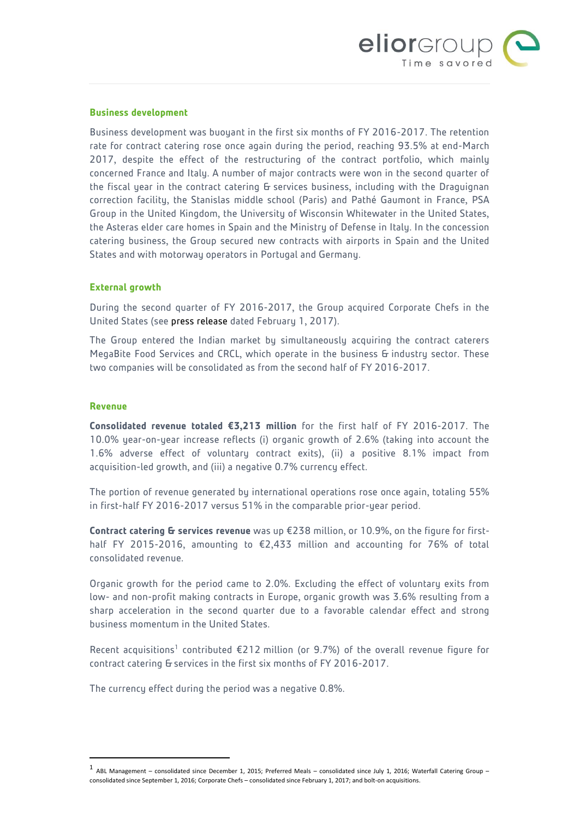

#### **Business development**

Business development was buoyant in the first six months of FY 2016-2017. The retention rate for contract catering rose once again during the period, reaching 93.5% at end-March 2017, despite the effect of the restructuring of the contract portfolio, which mainly concerned France and Italy. A number of major contracts were won in the second quarter of the fiscal year in the contract catering & services business, including with the Draguignan correction facility, the Stanislas middle school (Paris) and Pathé Gaumont in France, PSA Group in the United Kingdom, the University of Wisconsin Whitewater in the United States, the Asteras elder care homes in Spain and the Ministry of Defense in Italy. In the concession catering business, the Group secured new contracts with airports in Spain and the United States and with motorway operators in Portugal and Germany.

#### **External growth**

During the second quarter of FY 2016-2017, the Group acquired Corporate Chefs in the United States (see [press release](http://www.eliorgroup.com/sites/default/files/press/pr_eliorgroup_strategy_corporate_chefs_020117.pdf) dated February 1, 2017).

The Group entered the Indian market by simultaneously acquiring the contract caterers MegaBite Food Services and CRCL, which operate in the business & industry sector. These two companies will be consolidated as from the second half of FY 2016-2017.

#### **Revenue**

 $\overline{a}$ 

**Consolidated revenue totaled €3,213 million** for the first half of FY 2016-2017. The 10.0% year-on-year increase reflects (i) organic growth of 2.6% (taking into account the 1.6% adverse effect of voluntary contract exits), (ii) a positive 8.1% impact from acquisition-led growth, and (iii) a negative 0.7% currency effect.

The portion of revenue generated by international operations rose once again, totaling 55% in first-half FY 2016-2017 versus 51% in the comparable prior-year period.

**Contract catering & services revenue** was up €238 million, or 10.9%, on the figure for firsthalf FY 2015-2016, amounting to €2,433 million and accounting for 76% of total consolidated revenue.

Organic growth for the period came to 2.0%. Excluding the effect of voluntary exits from low- and non-profit making contracts in Europe, organic growth was 3.6% resulting from a sharp acceleration in the second quarter due to a favorable calendar effect and strong business momentum in the United States.

Recent acquisitions<sup>1</sup> contributed  $E$ 212 million (or 9.7%) of the overall revenue figure for contract catering & services in the first six months of FY 2016-2017.

The currency effect during the period was a negative 0.8%.

<sup>1</sup> ABL Management – consolidated since December 1, 2015; Preferred Meals – consolidated since July 1, 2016; Waterfall Catering Group – consolidated since September 1, 2016; Corporate Chefs – consolidated since February 1, 2017; and bolt-on acquisitions.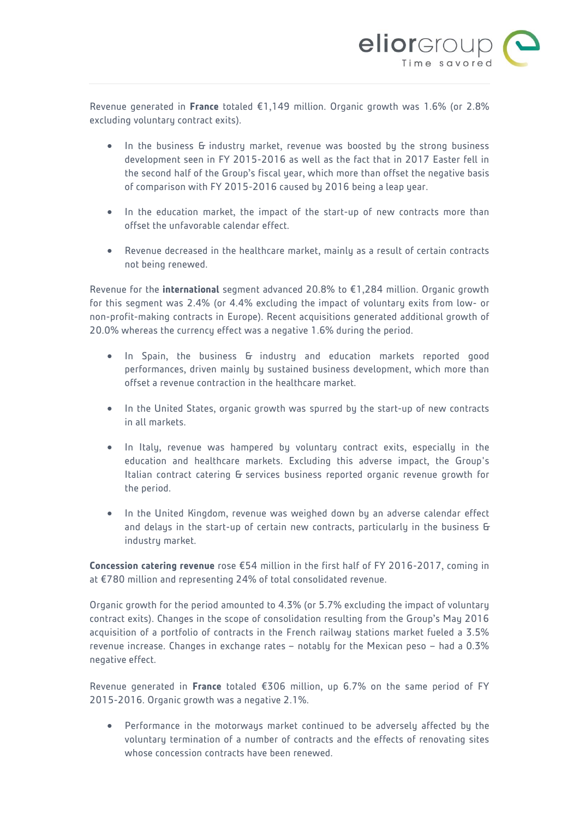

Revenue generated in **France** totaled €1,149 million. Organic growth was 1.6% (or 2.8% excluding voluntary contract exits).

- In the business G industry market, revenue was boosted by the strong business development seen in FY 2015-2016 as well as the fact that in 2017 Easter fell in the second half of the Group's fiscal year, which more than offset the negative basis of comparison with FY 2015-2016 caused by 2016 being a leap year.
- In the education market, the impact of the start-up of new contracts more than offset the unfavorable calendar effect.
- Revenue decreased in the healthcare market, mainly as a result of certain contracts not being renewed.

Revenue for the **international** segment advanced 20.8% to €1,284 million. Organic growth for this segment was 2.4% (or 4.4% excluding the impact of voluntary exits from low- or non-profit-making contracts in Europe). Recent acquisitions generated additional growth of 20.0% whereas the currency effect was a negative 1.6% during the period.

- In Spain, the business & industry and education markets reported good performances, driven mainly by sustained business development, which more than offset a revenue contraction in the healthcare market.
- In the United States, organic growth was spurred by the start-up of new contracts in all markets.
- In Italy, revenue was hampered by voluntary contract exits, especially in the education and healthcare markets. Excluding this adverse impact, the Group's Italian contract catering & services business reported organic revenue growth for the period.
- In the United Kingdom, revenue was weighed down by an adverse calendar effect and delays in the start-up of certain new contracts, particularly in the business & industry market.

**Concession catering revenue** rose €54 million in the first half of FY 2016-2017, coming in at €780 million and representing 24% of total consolidated revenue.

Organic growth for the period amounted to 4.3% (or 5.7% excluding the impact of voluntary contract exits). Changes in the scope of consolidation resulting from the Group's May 2016 acquisition of a portfolio of contracts in the French railway stations market fueled a 3.5% revenue increase. Changes in exchange rates – notably for the Mexican peso – had a 0.3% negative effect.

Revenue generated in **France** totaled €306 million, up 6.7% on the same period of FY 2015-2016. Organic growth was a negative 2.1%.

 Performance in the motorways market continued to be adversely affected by the voluntary termination of a number of contracts and the effects of renovating sites whose concession contracts have been renewed.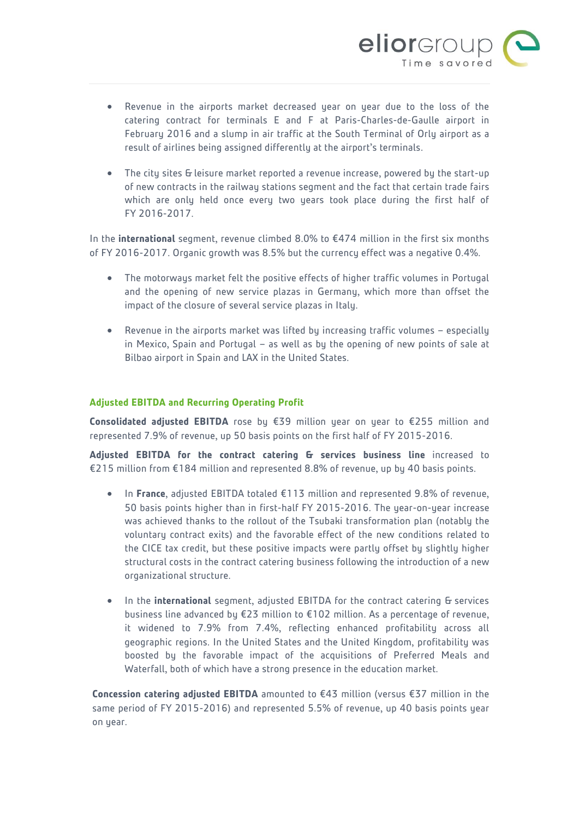

- Revenue in the airports market decreased year on year due to the loss of the catering contract for terminals E and F at Paris-Charles-de-Gaulle airport in February 2016 and a slump in air traffic at the South Terminal of Orly airport as a result of airlines being assigned differently at the airport's terminals.
- The city sites & leisure market reported a revenue increase, powered by the start-up of new contracts in the railway stations segment and the fact that certain trade fairs which are only held once every two years took place during the first half of FY 2016-2017.

In the **international** segment, revenue climbed 8.0% to €474 million in the first six months of FY 2016-2017. Organic growth was 8.5% but the currency effect was a negative 0.4%.

- The motorways market felt the positive effects of higher traffic volumes in Portugal and the opening of new service plazas in Germany, which more than offset the impact of the closure of several service plazas in Italy.
- Revenue in the airports market was lifted by increasing traffic volumes especially in Mexico, Spain and Portugal – as well as by the opening of new points of sale at Bilbao airport in Spain and LAX in the United States.

#### **Adjusted EBITDA and Recurring Operating Profit**

**Consolidated adjusted EBITDA** rose by €39 million year on year to €255 million and represented 7.9% of revenue, up 50 basis points on the first half of FY 2015-2016.

**Adjusted EBITDA for the contract catering & services business line** increased to €215 million from €184 million and represented 8.8% of revenue, up by 40 basis points.

- In **France**, adjusted EBITDA totaled €113 million and represented 9.8% of revenue, 50 basis points higher than in first-half FY 2015-2016. The year-on-year increase was achieved thanks to the rollout of the Tsubaki transformation plan (notably the voluntary contract exits) and the favorable effect of the new conditions related to the CICE tax credit, but these positive impacts were partly offset by slightly higher structural costs in the contract catering business following the introduction of a new organizational structure.
- In the *international* segment, adjusted EBITDA for the contract catering & services business line advanced by €23 million to €102 million. As a percentage of revenue, it widened to 7.9% from 7.4%, reflecting enhanced profitability across all geographic regions. In the United States and the United Kingdom, profitability was boosted by the favorable impact of the acquisitions of Preferred Meals and Waterfall, both of which have a strong presence in the education market.

**Concession catering adjusted EBITDA** amounted to €43 million (versus €37 million in the same period of FY 2015-2016) and represented 5.5% of revenue, up 40 basis points year on year.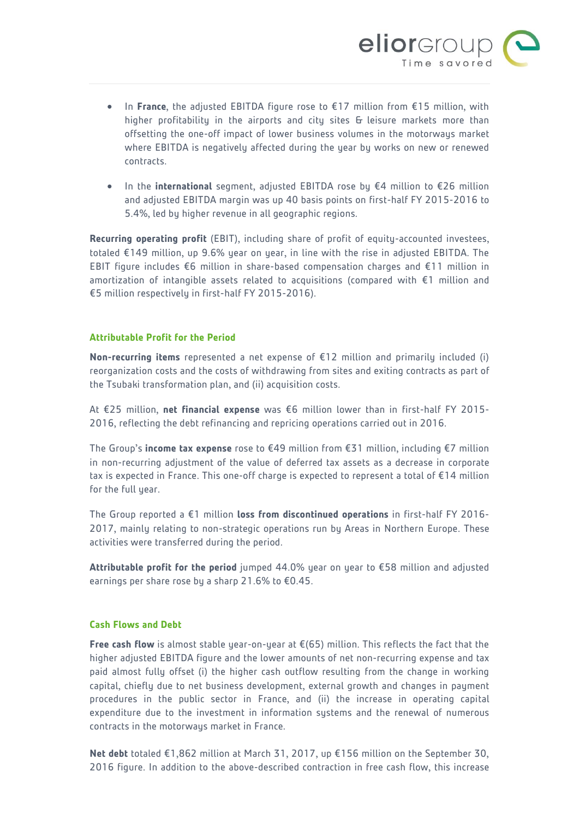

- In **France**, the adjusted EBITDA figure rose to €17 million from €15 million, with higher profitability in the airports and city sites & leisure markets more than offsetting the one-off impact of lower business volumes in the motorways market where EBITDA is negatively affected during the year by works on new or renewed contracts.
- In the **international** segment, adjusted EBITDA rose by €4 million to €26 million and adjusted EBITDA margin was up 40 basis points on first-half FY 2015-2016 to 5.4%, led by higher revenue in all geographic regions.

**Recurring operating profit** (EBIT), including share of profit of equity-accounted investees, totaled €149 million, up 9.6% year on year, in line with the rise in adjusted EBITDA. The EBIT figure includes €6 million in share-based compensation charges and €11 million in amortization of intangible assets related to acquisitions (compared with €1 million and €5 million respectively in first-half FY 2015-2016).

### **Attributable Profit for the Period**

**Non-recurring items** represented a net expense of €12 million and primarily included (i) reorganization costs and the costs of withdrawing from sites and exiting contracts as part of the Tsubaki transformation plan, and (ii) acquisition costs.

At €25 million, **net financial expense** was €6 million lower than in first-half FY 2015- 2016, reflecting the debt refinancing and repricing operations carried out in 2016.

The Group's **income tax expense** rose to €49 million from €31 million, including €7 million in non-recurring adjustment of the value of deferred tax assets as a decrease in corporate tax is expected in France. This one-off charge is expected to represent a total of €14 million for the full year.

The Group reported a €1 million **loss from discontinued operations** in first-half FY 2016- 2017, mainly relating to non-strategic operations run by Areas in Northern Europe. These activities were transferred during the period.

**Attributable profit for the period** jumped 44.0% year on year to €58 million and adjusted earnings per share rose by a sharp 21.6% to €0.45.

#### **Cash Flows and Debt**

**Free cash flow** is almost stable year-on-year at €(65) million. This reflects the fact that the higher adjusted EBITDA figure and the lower amounts of net non-recurring expense and tax paid almost fully offset (i) the higher cash outflow resulting from the change in working capital, chiefly due to net business development, external growth and changes in payment procedures in the public sector in France, and (ii) the increase in operating capital expenditure due to the investment in information systems and the renewal of numerous contracts in the motorways market in France.

**Net debt** totaled €1,862 million at March 31, 2017, up €156 million on the September 30, 2016 figure. In addition to the above-described contraction in free cash flow, this increase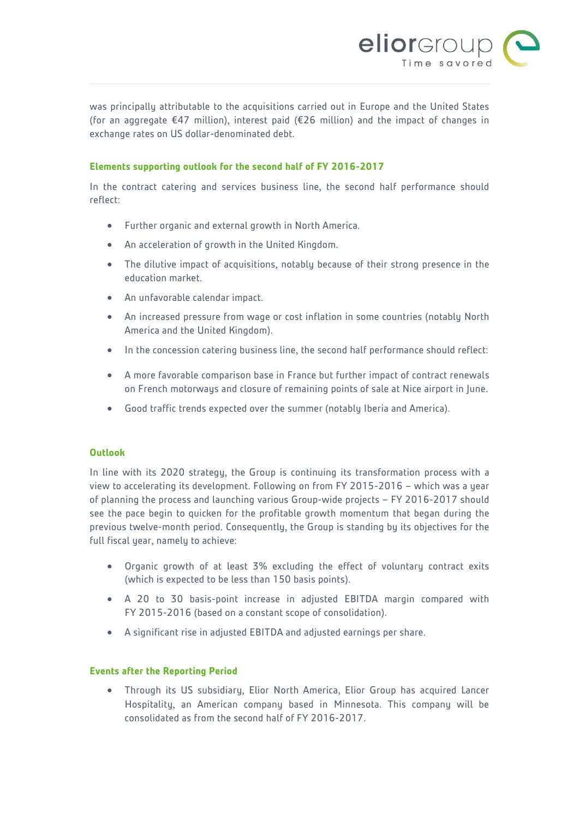

was principally attributable to the acquisitions carried out in Europe and the United States (for an aggregate €47 million), interest paid (€26 million) and the impact of changes in exchange rates on US dollar-denominated debt.

#### **Elements supporting outlook for the second half of FY 2016-2017**

In the contract catering and services business line, the second half performance should reflect:

- Further organic and external growth in North America.
- An acceleration of growth in the United Kingdom.
- The dilutive impact of acquisitions, notably because of their strong presence in the education market.
- An unfavorable calendar impact.
- An increased pressure from wage or cost inflation in some countries (notably North America and the United Kingdom).
- In the concession catering business line, the second half performance should reflect:
- A more favorable comparison base in France but further impact of contract renewals on French motorways and closure of remaining points of sale at Nice airport in June.
- Good traffic trends expected over the summer (notably Iberia and America).

#### **Outlook**

In line with its 2020 strategy, the Group is continuing its transformation process with a view to accelerating its development. Following on from FY 2015-2016 – which was a year of planning the process and launching various Group-wide projects – FY 2016-2017 should see the pace begin to quicken for the profitable growth momentum that began during the previous twelve-month period. Consequently, the Group is standing by its objectives for the full fiscal year, namely to achieve:

- Organic growth of at least 3% excluding the effect of voluntary contract exits (which is expected to be less than 150 basis points).
- A 20 to 30 basis-point increase in adjusted EBITDA margin compared with FY 2015-2016 (based on a constant scope of consolidation).
- A significant rise in adjusted EBITDA and adjusted earnings per share.

#### **Events after the Reporting Period**

 Through its US subsidiary, Elior North America, Elior Group has acquired Lancer Hospitality, an American company based in Minnesota. This company will be consolidated as from the second half of FY 2016-2017.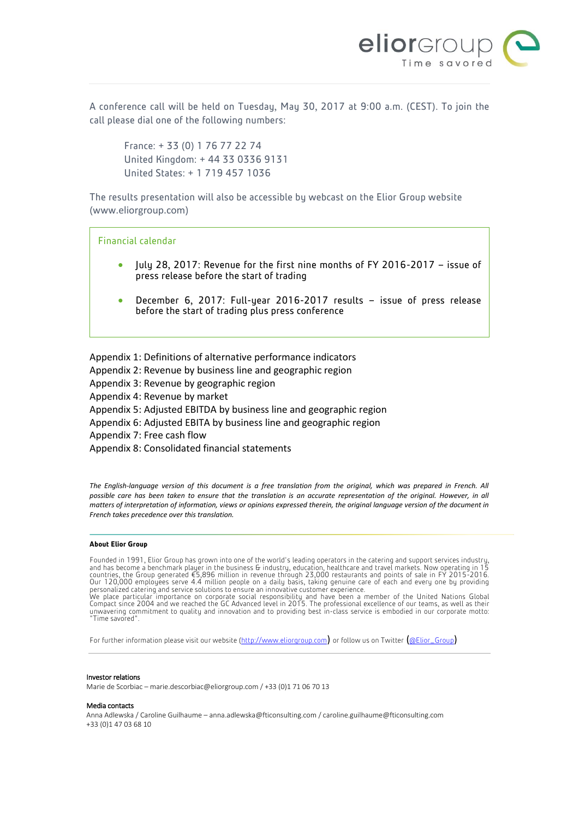

A conference call will be held on Tuesday, May 30, 2017 at 9:00 a.m. (CEST). To join the call please dial one of the following numbers:

France: + 33 (0) 1 76 77 22 74 United Kingdom: + 44 33 0336 9131 United States: + 1 719 457 1036

The results presentation will also be accessible by webcast on the Elior Group website ([www.eliorgroup.com](http://www.eliorgroup.com/))

Financial calendar

- July 28, 2017: Revenue for the first nine months of FY 2016-2017 issue of press release before the start of trading
- December 6, 2017: Full-year 2016-2017 results issue of press release before the start of trading plus press conference

Appendix 1: Definitions of alternative performance indicators

Appendix 2: Revenue by business line and geographic region

Appendix 3: Revenue by geographic region

Appendix 4: Revenue by market

Appendix 5: Adjusted EBITDA by business line and geographic region

Appendix 6: Adjusted EBITA by business line and geographic region

Appendix 7: Free cash flow

Appendix 8: Consolidated financial statements

*The English-language version of this document is a free translation from the original, which was prepared in French. All possible care has been taken to ensure that the translation is an accurate representation of the original. However, in all matters of interpretation of information, views or opinions expressed therein, the original language version of the document in French takes precedence over this translation.* 

#### **About Elior Group**

Founded in 1991, Elior Group has grown into one of the world's leading operators in the catering and support services industry, and has become a benchmark player in the business G industry, education, healthcare and travel We place particular importance on corporate social responsibility and have been a member of the United Nations Global<br>Compact since 2004 and we reached the GC Advanced level in 2015. The professional excellence of our team

For further information please visit our website [\(http://www.eliorgroup.com](http://www.eliorgroup.com/)) or follow us on Twitter ([@Elior\\_Group](https://twitter.com/Elior_Group))

#### Investor relations

Marie de Scorbiac – marie.descorbiac@eliorgroup.com / +33 (0)1 71 06 70 13

#### Media contacts

Anna Adlewska / Caroline Guilhaume – [anna.adlewska@fticonsulting.com](mailto:anna.adlewska@fticonsulting.com) [/ caroline.guilhaume@fticonsulting.com](mailto:caroline.guilhaume@fticonsulting.com) +33 (0)1 47 03 68 10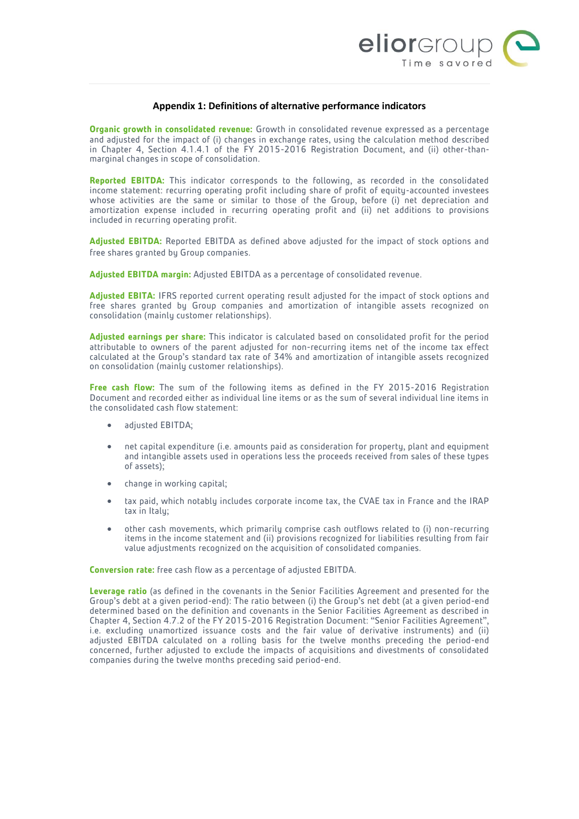

#### **Appendix 1: Definitions of alternative performance indicators**

**Organic growth in consolidated revenue:** Growth in consolidated revenue expressed as a percentage and adjusted for the impact of (i) changes in exchange rates, using the calculation method described in Chapter 4, Section 4.1.4.1 of the FY 2015-2016 Registration Document, and (ii) other-thanmarginal changes in scope of consolidation.

**Reported EBITDA:** This indicator corresponds to the following, as recorded in the consolidated income statement: recurring operating profit including share of profit of equity-accounted investees whose activities are the same or similar to those of the Group, before (i) net depreciation and amortization expense included in recurring operating profit and (ii) net additions to provisions included in recurring operating profit.

**Adjusted EBITDA:** Reported EBITDA as defined above adjusted for the impact of stock options and free shares granted by Group companies.

**Adjusted EBITDA margin:** Adjusted EBITDA as a percentage of consolidated revenue.

**Adjusted EBITA:** IFRS reported current operating result adjusted for the impact of stock options and free shares granted by Group companies and amortization of intangible assets recognized on consolidation (mainly customer relationships).

**Adjusted earnings per share:** This indicator is calculated based on consolidated profit for the period attributable to owners of the parent adjusted for non-recurring items net of the income tax effect calculated at the Group's standard tax rate of 34% and amortization of intangible assets recognized on consolidation (mainly customer relationships).

**Free cash flow:** The sum of the following items as defined in the FY 2015-2016 Registration Document and recorded either as individual line items or as the sum of several individual line items in the consolidated cash flow statement:

- adjusted EBITDA;
- net capital expenditure (i.e. amounts paid as consideration for property, plant and equipment and intangible assets used in operations less the proceeds received from sales of these types of assets);
- change in working capital;
- tax paid, which notably includes corporate income tax, the CVAE tax in France and the IRAP tax in Italy;
- other cash movements, which primarily comprise cash outflows related to (i) non-recurring items in the income statement and (ii) provisions recognized for liabilities resulting from fair value adjustments recognized on the acquisition of consolidated companies.

**Conversion rate:** free cash flow as a percentage of adjusted EBITDA.

**Leverage ratio** (as defined in the covenants in the Senior Facilities Agreement and presented for the Group's debt at a given period-end): The ratio between (i) the Group's net debt (at a given period-end determined based on the definition and covenants in the Senior Facilities Agreement as described in Chapter 4, Section 4.7.2 of the FY 2015-2016 Registration Document: "Senior Facilities Agreement", i.e. excluding unamortized issuance costs and the fair value of derivative instruments) and (ii) adjusted EBITDA calculated on a rolling basis for the twelve months preceding the period-end concerned, further adjusted to exclude the impacts of acquisitions and divestments of consolidated companies during the twelve months preceding said period-end.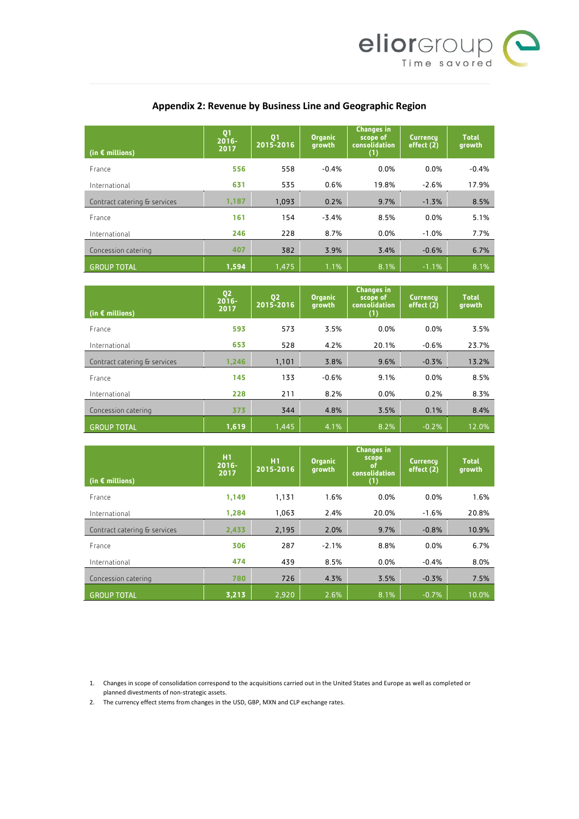

# **Appendix 2: Revenue by Business Line and Geographic Region**

| (in $\epsilon$ millions)     | Q <sub>1</sub><br>$2016 -$<br>2017 | Q <sub>1</sub><br>2015-2016 | <b>Organic</b><br>growth | <b>Changes in</b><br>scope of<br>consolidation<br>(1) | <b>Currency</b><br>effect (2) | <b>Total</b><br>growth |
|------------------------------|------------------------------------|-----------------------------|--------------------------|-------------------------------------------------------|-------------------------------|------------------------|
| France                       | 556                                | 558                         | $-0.4%$                  | 0.0%                                                  | $0.0\%$                       | $-0.4%$                |
| International                | 631                                | 535                         | 0.6%                     | 19.8%                                                 | $-2.6%$                       | 17.9%                  |
| Contract catering & services | 1,187                              | 1,093                       | 0.2%                     | 9.7%                                                  | $-1.3%$                       | 8.5%                   |
| France                       | 161                                | 154                         | $-3.4%$                  | 8.5%                                                  | 0.0%                          | 5.1%                   |
| International                | 246                                | 228                         | 8.7%                     | 0.0%                                                  | $-1.0%$                       | 7.7%                   |
| Concession catering          | 407                                | 382                         | 3.9%                     | 3.4%                                                  | $-0.6%$                       | 6.7%                   |
| <b>GROUP TOTAL</b>           | 1,594                              | 1,475                       | 1.1%                     | 8.1%                                                  | $-1.1%$                       | 8.1%                   |

| (in $\epsilon$ millions)     | Q <sub>2</sub><br>$2016 -$<br>2017 | Q <sub>2</sub><br>2015-2016 | <b>Organic</b><br>growth | <b>Changes in</b><br>scope of<br><b>consolidation</b><br>(1) | <b>Currency</b><br>effect (2) | <b>Total</b><br>growth |
|------------------------------|------------------------------------|-----------------------------|--------------------------|--------------------------------------------------------------|-------------------------------|------------------------|
| France                       | 593                                | 573                         | 3.5%                     | 0.0%                                                         | 0.0%                          | 3.5%                   |
| International                | 653                                | 528                         | 4.2%                     | 20.1%                                                        | $-0.6%$                       | 23.7%                  |
| Contract catering & services | 1.246                              | 1,101                       | 3.8%                     | 9.6%                                                         | $-0.3%$                       | 13.2%                  |
| France                       | 145                                | 133                         | $-0.6%$                  | 9.1%                                                         | 0.0%                          | 8.5%                   |
| International                | 228                                | 211                         | 8.2%                     | 0.0%                                                         | 0.2%                          | 8.3%                   |
| Concession catering          | 373                                | 344                         | 4.8%                     | 3.5%                                                         | 0.1%                          | 8.4%                   |
| <b>GROUP TOTAL</b>           | 1,619                              | 1,445                       | 4.1%                     | 8.2%                                                         | $-0.2%$                       | 12.0%                  |

| (in $\epsilon$ millions)     | H1<br>$2016 -$<br>2017 | H <sub>1</sub><br>2015-2016 | <b>Organic</b><br>growth | <b>Changes in</b><br>scope<br>٥f<br>consolidation<br>(1) | <b>Currency</b><br>effect (2) | <b>Total</b><br>growth |
|------------------------------|------------------------|-----------------------------|--------------------------|----------------------------------------------------------|-------------------------------|------------------------|
| France                       | 1.149                  | 1,131                       | 1.6%                     | 0.0%                                                     | 0.0%                          | 1.6%                   |
| International                | 1.284                  | 1.063                       | 2.4%                     | 20.0%                                                    | $-1.6%$                       | 20.8%                  |
| Contract catering & services | 2,433                  | 2,195                       | 2.0%                     | 9.7%                                                     | $-0.8%$                       | 10.9%                  |
| France                       | 306                    | 287                         | $-2.1%$                  | 8.8%                                                     | 0.0%                          | 6.7%                   |
| International                | 474                    | 439                         | 8.5%                     | 0.0%                                                     | $-0.4%$                       | 8.0%                   |
| Concession catering          | 780                    | 726                         | 4.3%                     | 3.5%                                                     | $-0.3%$                       | 7.5%                   |
| <b>GROUP TOTAL</b>           | 3,213                  | 2,920                       | 2.6%                     | 8.1%                                                     | $-0.7%$                       | 10.0%                  |

1. Changes in scope of consolidation correspond to the acquisitions carried out in the United States and Europe as well as completed or planned divestments of non-strategic assets.

2. The currency effect stems from changes in the USD, GBP, MXN and CLP exchange rates.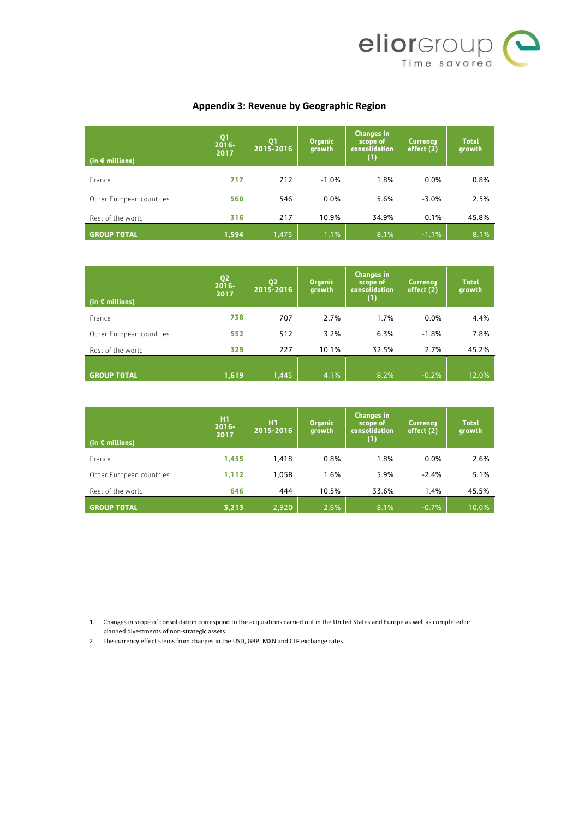

# **Appendix 3: Revenue by Geographic Region**

| (in $\epsilon$ millions) | Q <sub>1</sub><br>$2016 -$<br>2017 | <b>Q1</b><br>2015-2016 | <b>Organic</b><br>growth | <b>Changes in</b><br>scope of<br>consolidation<br>(1) | <b>Currency</b><br>effect (2) | <b>Total</b><br>growth |
|--------------------------|------------------------------------|------------------------|--------------------------|-------------------------------------------------------|-------------------------------|------------------------|
| France                   | 717                                | 712                    | $-1.0%$                  | 1.8%                                                  | 0.0%                          | 0.8%                   |
| Other European countries | 560                                | 546                    | 0.0%                     | 5.6%                                                  | $-3.0%$                       | 2.5%                   |
| Rest of the world        | 316                                | 217                    | 10.9%                    | 34.9%                                                 | 0.1%                          | 45.8%                  |
| <b>GROUP TOTAL</b>       | 1,594                              | 1,475                  | 1.1%                     | 8.1%                                                  | $-1.1%$                       | 8.1%                   |

| (in $\epsilon$ millions) | Q <sub>2</sub><br>$2016 -$<br>2017 | Q <sub>2</sub><br>2015-2016 | <b>Organic</b><br>growth | <b>Changes in</b><br>scope of<br>consolidation<br>(1) | Currency,<br>effect (2) | <b>Total</b><br>growth |
|--------------------------|------------------------------------|-----------------------------|--------------------------|-------------------------------------------------------|-------------------------|------------------------|
| France                   | 738                                | 707                         | 2.7%                     | 1.7%                                                  | 0.0%                    | 4.4%                   |
| Other European countries | 552                                | 512                         | 3.2%                     | 6.3%                                                  | $-1.8%$                 | 7.8%                   |
| Rest of the world        | 329                                | 227                         | 10.1%                    | 32.5%                                                 | 2.7%                    | 45.2%                  |
| <b>GROUP TOTAL</b>       | 1,619                              | 1,445                       | 4.1%                     | 8.2%                                                  | $-0.2%$                 | 12.0%                  |

| (in $\epsilon$ millions) | <b>H1</b><br>$2016 -$<br>2017 | H1<br>2015-2016 | <b>Organic</b><br>growth | <b>Changes in</b><br>scope of<br><b>consolidation</b><br>(1) | Currency,<br>effect (2) | <b>Total</b><br>growth |
|--------------------------|-------------------------------|-----------------|--------------------------|--------------------------------------------------------------|-------------------------|------------------------|
| France                   | 1,455                         | 1,418           | 0.8%                     | 1.8%                                                         | 0.0%                    | 2.6%                   |
| Other European countries | 1,112                         | 1.058           | 1.6%                     | 5.9%                                                         | $-2.4%$                 | 5.1%                   |
| Rest of the world        | 646                           | 444             | 10.5%                    | 33.6%                                                        | 1.4%                    | 45.5%                  |
| <b>GROUP TOTAL</b>       | 3,213                         | 2,920           | 2.6%                     | 8.1%                                                         | $-0.7%$                 | 10.0%                  |

1. Changes in scope of consolidation correspond to the acquisitions carried out in the United States and Europe as well as completed or planned divestments of non-strategic assets.

2. The currency effect stems from changes in the USD, GBP, MXN and CLP exchange rates.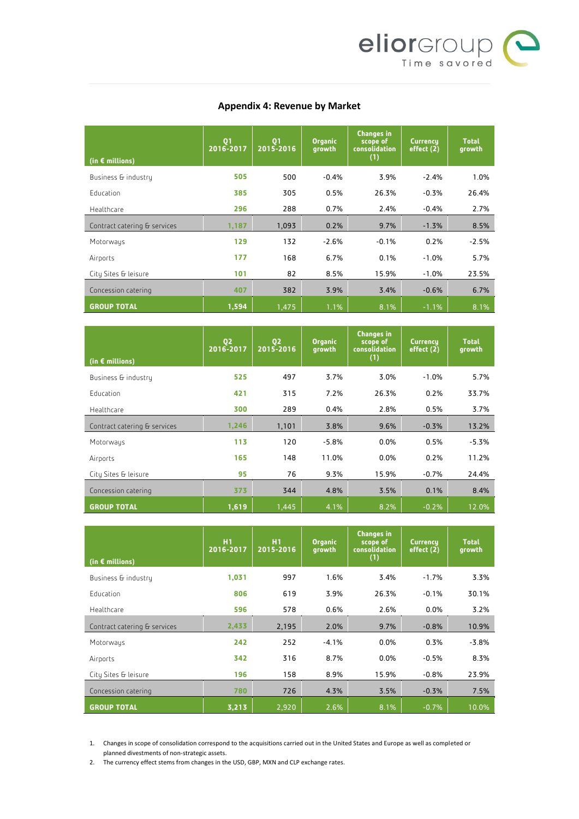

### **Appendix 4: Revenue by Market**

| (in $\epsilon$ millions)     | Q1<br>2016-2017 | Q <sub>1</sub><br>$2015 - 2016$ | <b>Organic</b><br>growth | <b>Changes in</b><br>scope of<br>consolidation<br>(1) | <b>Currency</b><br>effect (2) | <b>Total</b><br>growth |
|------------------------------|-----------------|---------------------------------|--------------------------|-------------------------------------------------------|-------------------------------|------------------------|
| Business & industry          | 505             | 500                             | $-0.4%$                  | 3.9%                                                  | $-2.4%$                       | 1.0%                   |
| <b>Education</b>             | 385             | 305                             | 0.5%                     | 26.3%                                                 | $-0.3%$                       | 26.4%                  |
| Healthcare                   | 296             | 288                             | 0.7%                     | 2.4%                                                  | $-0.4%$                       | 2.7%                   |
| Contract catering & services | 1,187           | 1,093                           | 0.2%                     | 9.7%                                                  | $-1.3%$                       | 8.5%                   |
| Motorways                    | 129             | 132                             | $-2.6%$                  | $-0.1%$                                               | 0.2%                          | $-2.5%$                |
| Airports                     | 177             | 168                             | 6.7%                     | 0.1%                                                  | $-1.0%$                       | 5.7%                   |
| City Sites & leisure         | 101             | 82                              | 8.5%                     | 15.9%                                                 | $-1.0%$                       | 23.5%                  |
| Concession catering          | 407             | 382                             | 3.9%                     | 3.4%                                                  | $-0.6%$                       | 6.7%                   |
| <b>GROUP TOTAL</b>           | 1,594           | 1,475                           | 1.1%                     | 8.1%                                                  | $-1.1%$                       | 8.1%                   |

| (in $\epsilon$ millions)     | Q <sub>2</sub><br>2016-2017 | Q <sub>2</sub><br>2015-2016 | <b>Organic</b><br>growth | <b>Changes in</b><br>scope of<br>consolidation<br>(1) | <b>Currency</b><br>effect (2) | <b>Total</b><br>growth |
|------------------------------|-----------------------------|-----------------------------|--------------------------|-------------------------------------------------------|-------------------------------|------------------------|
| Business & industry          | 525                         | 497                         | 3.7%                     | 3.0%                                                  | $-1.0%$                       | 5.7%                   |
| Education                    | 421                         | 315                         | 7.2%                     | 26.3%                                                 | 0.2%                          | 33.7%                  |
| Healthcare                   | 300                         | 289                         | 0.4%                     | 2.8%                                                  | 0.5%                          | 3.7%                   |
| Contract catering & services | 1,246                       | 1,101                       | 3.8%                     | 9.6%                                                  | $-0.3%$                       | 13.2%                  |
| Motorways                    | 113                         | 120                         | $-5.8%$                  | 0.0%                                                  | 0.5%                          | $-5.3%$                |
| Airports                     | 165                         | 148                         | 11.0%                    | 0.0%                                                  | 0.2%                          | 11.2%                  |
| City Sites & leisure         | 95                          | 76                          | 9.3%                     | 15.9%                                                 | $-0.7%$                       | 24.4%                  |
| Concession catering          | 373                         | 344                         | 4.8%                     | 3.5%                                                  | 0.1%                          | 8.4%                   |
| <b>GROUP TOTAL</b>           | 1,619                       | 1,445                       | 4.1%                     | 8.2%                                                  | $-0.2%$                       | 12.0%                  |

| (in $\epsilon$ millions)     | H1<br>2016-2017 | H1<br>2015-2016 | <b>Organic</b><br>growth | <b>Changes in</b><br>scope of<br>consolidation<br>(1) | <b>Currency</b><br>effect (2) | <b>Total</b><br>growth |
|------------------------------|-----------------|-----------------|--------------------------|-------------------------------------------------------|-------------------------------|------------------------|
| Business & industry          | 1,031           | 997             | 1.6%                     | 3.4%                                                  | $-1.7%$                       | 3.3%                   |
| <b>Education</b>             | 806             | 619             | 3.9%                     | 26.3%                                                 | $-0.1%$                       | 30.1%                  |
| Healthcare                   | 596             | 578             | 0.6%                     | 2.6%                                                  | 0.0%                          | 3.2%                   |
| Contract catering & services | 2,433           | 2,195           | 2.0%                     | 9.7%                                                  | $-0.8%$                       | 10.9%                  |
| Motorways                    | 242             | 252             | $-4.1%$                  | 0.0%                                                  | 0.3%                          | $-3.8%$                |
| Airports                     | 342             | 316             | 8.7%                     | 0.0%                                                  | $-0.5%$                       | 8.3%                   |
| City Sites & leisure         | 196             | 158             | 8.9%                     | 15.9%                                                 | $-0.8%$                       | 23.9%                  |
| Concession catering          | 780             | 726             | 4.3%                     | 3.5%                                                  | $-0.3%$                       | 7.5%                   |
| <b>GROUP TOTAL</b>           | 3,213           | 2,920           | 2.6%                     | 8.1%                                                  | $-0.7%$                       | 10.0%                  |

1. Changes in scope of consolidation correspond to the acquisitions carried out in the United States and Europe as well as completed or planned divestments of non-strategic assets.

2. The currency effect stems from changes in the USD, GBP, MXN and CLP exchange rates.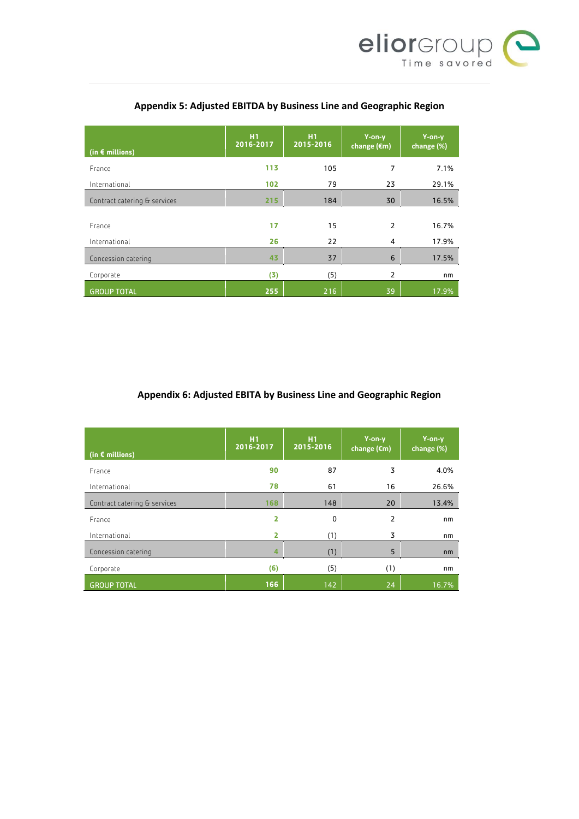

| (in $\epsilon$ millions)     | H <sub>1</sub><br>2016-2017 | H1<br>2015-2016 | Y-on-y<br>change $(\epsilon m)$ | Y-on-y<br>change (%) |
|------------------------------|-----------------------------|-----------------|---------------------------------|----------------------|
| France                       | 113                         | 105             | 7                               | 7.1%                 |
| International                | 102                         | 79              | 23                              | 29.1%                |
| Contract catering & services | 215                         | 184             | 30                              | 16.5%                |
|                              |                             |                 |                                 |                      |
| France                       | 17                          | 15              | $\overline{2}$                  | 16.7%                |
| International                | 26                          | 22              | 4                               | 17.9%                |
| Concession catering          | 43                          | 37              | 6                               | 17.5%                |
| Corporate                    | (3)                         | (5)             | $\overline{2}$                  | nm                   |
| <b>GROUP TOTAL</b>           | 255                         | 216             | 39                              | 17.9%                |

# **Appendix 5: Adjusted EBITDA by Business Line and Geographic Region**

# **Appendix 6: Adjusted EBITA by Business Line and Geographic Region**

| (in $\epsilon$ millions)     | H <sub>1</sub><br>2016-2017 | H1<br>2015-2016 | Y-on-y<br>change $(\epsilon m)$ | Y-on-y<br>change (%) |
|------------------------------|-----------------------------|-----------------|---------------------------------|----------------------|
| France                       | 90                          | 87              | 3                               | 4.0%                 |
| International                | 78                          | 61              | 16                              | 26.6%                |
| Contract catering & services | 168                         | 148             | 20                              | 13.4%                |
| France                       | 2                           | 0               | $\overline{2}$                  | nm                   |
| International                | 2                           | (1)             | 3                               | nm                   |
| Concession catering          | 4                           | (1)             | 5                               | nm                   |
| Corporate                    | (6)                         | (5)             | (1)                             | nm                   |
| <b>GROUP TOTAL</b>           | 166                         | 142             | 24                              | 16.7%                |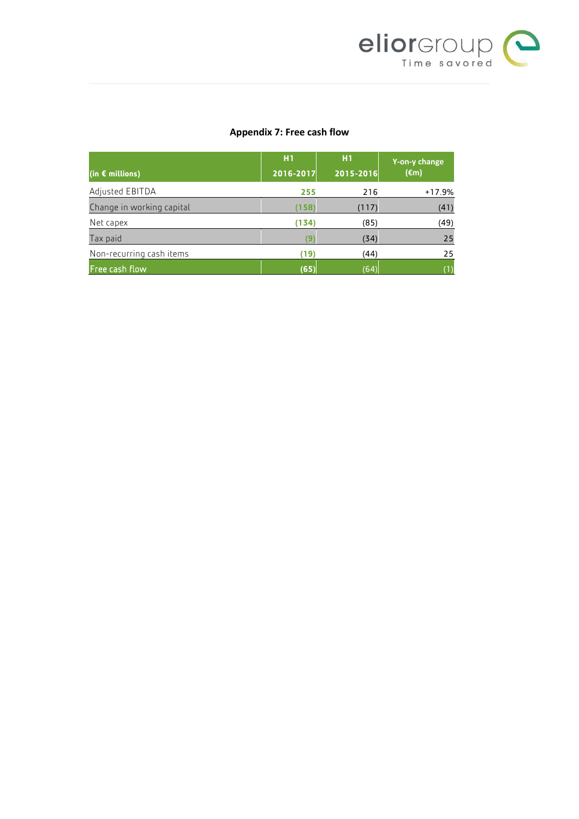

## **Appendix 7: Free cash flow**

|                           | H1        | H1        | Y-on-y change  |  |
|---------------------------|-----------|-----------|----------------|--|
| (in $\epsilon$ millions)  | 2016-2017 | 2015-2016 | $(\epsilon m)$ |  |
| Adjusted EBITDA           | 255       | 216       | $+17.9%$       |  |
| Change in working capital | (158)     | (117)     | (41)           |  |
| Net capex                 | (134)     | (85)      | (49)           |  |
| Tax paid                  |           | (34)      | 25             |  |
| Non-recurring cash items  | (19)      | (44)      | 25             |  |
| Free cash flow            | (65)      | (64)      | (1)            |  |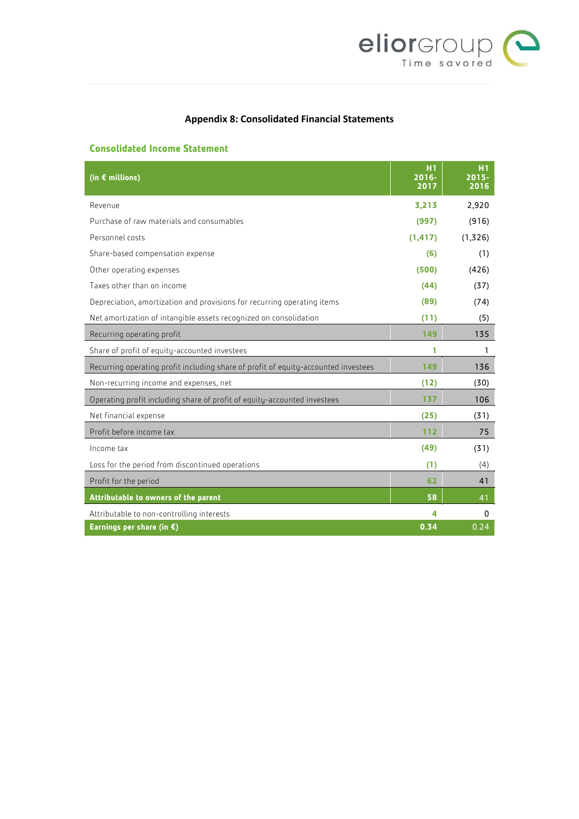

# **Appendix 8: Consolidated Financial Statements**

### **Consolidated Income Statement**

| (in $\epsilon$ millions)                                                           |          | H1<br>$2015 -$<br>2016 |
|------------------------------------------------------------------------------------|----------|------------------------|
| Revenue                                                                            | 3,213    | 2,920                  |
| Purchase of raw materials and consumables                                          | (997)    | (916)                  |
| Personnel costs                                                                    | (1, 417) | (1,326)                |
| Share-based compensation expense                                                   | (6)      | (1)                    |
| Other operating expenses                                                           | (500)    | (426)                  |
| Taxes other than on income                                                         | (44)     | (37)                   |
| Depreciation, amortization and provisions for recurring operating items            | (89)     | (74)                   |
| Net amortization of intangible assets recognized on consolidation                  | (11)     | (5)                    |
| Recurring operating profit                                                         | 149      | 135                    |
| Share of profit of equity-accounted investees                                      | 1        | 1                      |
| Recurring operating profit including share of profit of equity-accounted investees | 149      | 136                    |
| Non-recurring income and expenses, net                                             | (12)     | (30)                   |
| Operating profit including share of profit of equity-accounted investees           | 137      | 106                    |
| Net financial expense                                                              | (25)     | (31)                   |
| Profit before income tax                                                           | 112      | 75                     |
| Income tax                                                                         | (49)     | (31)                   |
| Loss for the period from discontinued operations                                   | (1)      | (4)                    |
| Profit for the period                                                              | 62       | 41                     |
| Attributable to owners of the parent                                               | 58       | 41                     |
| Attributable to non-controlling interests                                          | 4        | 0                      |
| Earnings per share (in $\epsilon$ )                                                | 0.34     | 0.24                   |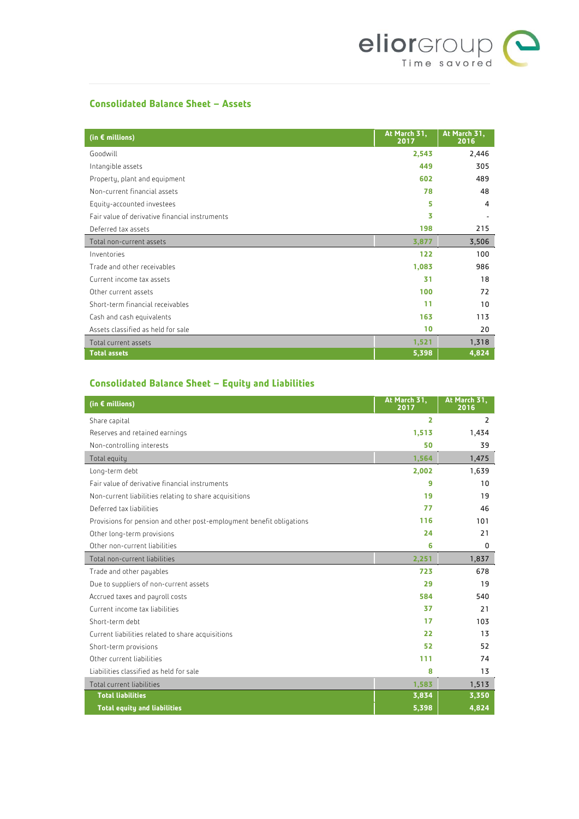

### **Consolidated Balance Sheet – Assets**

| (in $\epsilon$ millions)                       | At March 31,<br>2017 | At March 31,<br>2016 |
|------------------------------------------------|----------------------|----------------------|
| Goodwill                                       | 2,543                | 2,446                |
| Intangible assets                              | 449                  | 305                  |
| Property, plant and equipment                  | 602                  | 489                  |
| Non-current financial assets                   | 78                   | 48                   |
| Equity-accounted investees                     | 5                    | 4                    |
| Fair value of derivative financial instruments | 3                    |                      |
| Deferred tax assets                            | 198                  | 215                  |
| Total non-current assets                       | 3,877                | 3,506                |
| Inventories                                    | 122                  | 100                  |
| Trade and other receivables                    | 1,083                | 986                  |
| Current income tax assets                      | 31                   | 18                   |
| Other current assets                           | 100                  | 72                   |
| Short-term financial receivables               | 11                   | 10                   |
| Cash and cash equivalents                      | 163                  | 113                  |
| Assets classified as held for sale             | 10                   | 20                   |
| Total current assets                           | 1,521                | 1,318                |
| <b>Total assets</b>                            | 5,398                | 4,824                |

# **Consolidated Balance Sheet – Equity and Liabilities**

| (in $\epsilon$ millions)                                             | At March 31,<br>2017 | At March 31,<br>2016 |
|----------------------------------------------------------------------|----------------------|----------------------|
| Share capital                                                        | 2                    | 2                    |
| Reserves and retained earnings                                       | 1,513                | 1,434                |
| Non-controlling interests                                            | 50                   | 39                   |
| Total equity                                                         | 1,564                | 1,475                |
| Long-term debt                                                       | 2,002                | 1,639                |
| Fair value of derivative financial instruments                       | 9                    | 10                   |
| Non-current liabilities relating to share acquisitions               | 19                   | 19                   |
| Deferred tax liabilities                                             | 77                   | 46                   |
| Provisions for pension and other post-employment benefit obligations | 116                  | 101                  |
| Other long-term provisions                                           | 24                   | 21                   |
| Other non-current liabilities                                        | 6                    | 0                    |
| Total non-current liabilities                                        | 2,251                | 1,837                |
| Trade and other payables                                             | 723                  | 678                  |
| Due to suppliers of non-current assets                               | 29                   | 19                   |
| Accrued taxes and payroll costs                                      | 584                  | 540                  |
| Current income tax liabilities                                       | 37                   | 21                   |
| Short-term debt                                                      | 17                   | 103                  |
| Current liabilities related to share acquisitions                    | 22                   | 13                   |
| Short-term provisions                                                | 52                   | 52                   |
| Other current liabilities                                            | 111                  | 74                   |
| Liabilities classified as held for sale                              | 8                    | 13                   |
| Total current liabilities                                            | 1,583                | 1,513                |
| <b>Total liabilities</b>                                             | 3,834                | 3,350                |
| <b>Total equity and liabilities</b>                                  | 5,398                | 4,824                |